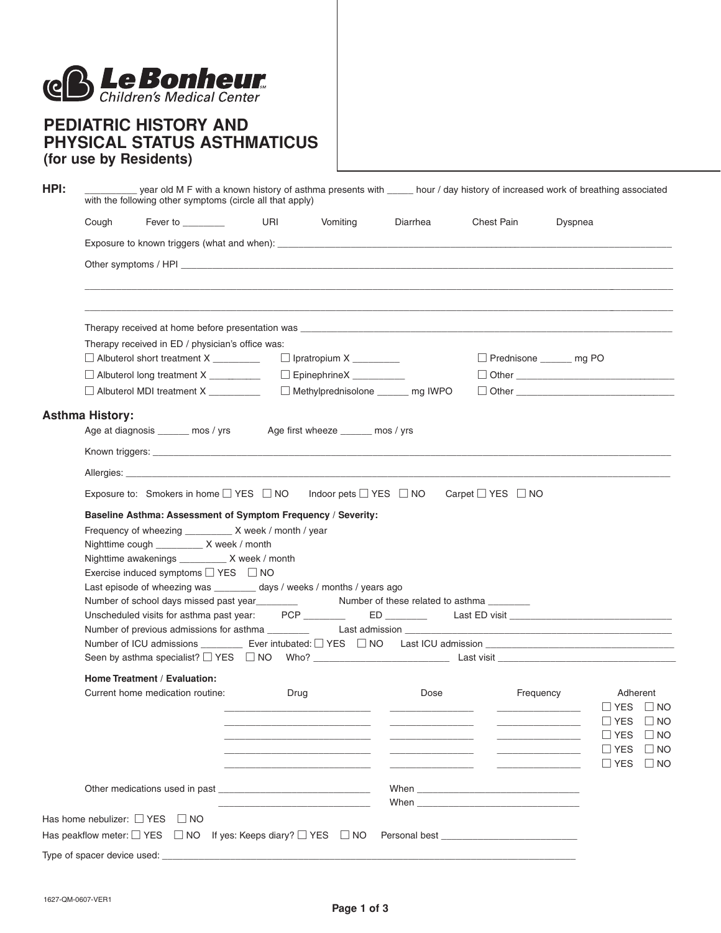

## **PEDIATRIC HISTORY AND PHYSICAL STATUS ASTHMATICUS (for use by Residents)**

| HPI: |                                                                                                                                                                                                                                                                                                                                                                                                                                          | with the following other symptoms (circle all that apply)                                                            |      |                                   | year old M F with a known history of asthma presents with _____ hour / day history of increased work of breathing associated |                                                                                                                                                                                                                                |                         |                                                                          |  |  |  |  |
|------|------------------------------------------------------------------------------------------------------------------------------------------------------------------------------------------------------------------------------------------------------------------------------------------------------------------------------------------------------------------------------------------------------------------------------------------|----------------------------------------------------------------------------------------------------------------------|------|-----------------------------------|------------------------------------------------------------------------------------------------------------------------------|--------------------------------------------------------------------------------------------------------------------------------------------------------------------------------------------------------------------------------|-------------------------|--------------------------------------------------------------------------|--|--|--|--|
|      | Cough                                                                                                                                                                                                                                                                                                                                                                                                                                    | Fever to ________                                                                                                    | URI  | Vomiting                          | Diarrhea                                                                                                                     | Chest Pain                                                                                                                                                                                                                     | Dyspnea                 |                                                                          |  |  |  |  |
|      |                                                                                                                                                                                                                                                                                                                                                                                                                                          |                                                                                                                      |      |                                   |                                                                                                                              |                                                                                                                                                                                                                                |                         |                                                                          |  |  |  |  |
|      | Other symptoms / HPI                                                                                                                                                                                                                                                                                                                                                                                                                     |                                                                                                                      |      |                                   |                                                                                                                              |                                                                                                                                                                                                                                |                         |                                                                          |  |  |  |  |
|      | Therapy received at home before presentation was example and the state of the state of the state of the state of the state of the state of the state of the state of the state of the state of the state of the state of the s<br>Therapy received in ED / physician's office was:                                                                                                                                                       |                                                                                                                      |      |                                   |                                                                                                                              |                                                                                                                                                                                                                                |                         |                                                                          |  |  |  |  |
|      |                                                                                                                                                                                                                                                                                                                                                                                                                                          | Albuterol short treatment X _________                                                                                |      | $\Box$ Ipratropium X __________   |                                                                                                                              |                                                                                                                                                                                                                                | Prednisone ______ mg PO |                                                                          |  |  |  |  |
|      |                                                                                                                                                                                                                                                                                                                                                                                                                                          | Albuterol long treatment X _________                                                                                 |      | EpinephrineX __________           |                                                                                                                              |                                                                                                                                                                                                                                |                         |                                                                          |  |  |  |  |
|      |                                                                                                                                                                                                                                                                                                                                                                                                                                          | Albuterol MDI treatment X ________                                                                                   |      |                                   | Methylprednisolone _______ mg IWPO                                                                                           |                                                                                                                                                                                                                                |                         |                                                                          |  |  |  |  |
|      | <b>Asthma History:</b>                                                                                                                                                                                                                                                                                                                                                                                                                   | Age at diagnosis ______ mos / yrs                                                                                    |      | Age first wheeze ______ mos / yrs |                                                                                                                              |                                                                                                                                                                                                                                |                         |                                                                          |  |  |  |  |
|      |                                                                                                                                                                                                                                                                                                                                                                                                                                          |                                                                                                                      |      |                                   |                                                                                                                              |                                                                                                                                                                                                                                |                         |                                                                          |  |  |  |  |
|      |                                                                                                                                                                                                                                                                                                                                                                                                                                          |                                                                                                                      |      |                                   |                                                                                                                              |                                                                                                                                                                                                                                |                         |                                                                          |  |  |  |  |
|      | Exposure to: Smokers in home $\square$ YES $\square$ NO Indoor pets $\square$ YES $\square$ NO<br>Carpet $\Box$ YES $\Box$ NO                                                                                                                                                                                                                                                                                                            |                                                                                                                      |      |                                   |                                                                                                                              |                                                                                                                                                                                                                                |                         |                                                                          |  |  |  |  |
|      | Baseline Asthma: Assessment of Symptom Frequency / Severity:<br>Frequency of wheezing __________ X week / month / year<br>Nighttime cough __________ X week / month<br>Nighttime awakenings __________ X week / month<br>Exercise induced symptoms $\Box$ YES $\Box$ NO<br>Last episode of wheezing was ________ days / weeks / months / years ago<br>Number of school days missed past year<br><u>Number of these related to asthma</u> |                                                                                                                      |      |                                   |                                                                                                                              |                                                                                                                                                                                                                                |                         |                                                                          |  |  |  |  |
|      | Unscheduled visits for asthma past year:                                                                                                                                                                                                                                                                                                                                                                                                 |                                                                                                                      |      |                                   |                                                                                                                              |                                                                                                                                                                                                                                |                         |                                                                          |  |  |  |  |
|      |                                                                                                                                                                                                                                                                                                                                                                                                                                          | Number of ICU admissions ___________ Ever intubated: □ YES □ NO Last ICU admission ________________                  |      |                                   |                                                                                                                              |                                                                                                                                                                                                                                |                         |                                                                          |  |  |  |  |
|      | Home Treatment / Evaluation:<br>Current home medication routine:                                                                                                                                                                                                                                                                                                                                                                         |                                                                                                                      | Drug |                                   | Dose                                                                                                                         | Frequency                                                                                                                                                                                                                      |                         | Adherent<br>$\Box$ YES $\Box$ NO<br>$\sqcup$ YES<br>$\Box$ NO            |  |  |  |  |
|      |                                                                                                                                                                                                                                                                                                                                                                                                                                          |                                                                                                                      |      |                                   |                                                                                                                              | <u> Alexandria (Carlo Carlo Carlo Carlo Carlo Carlo Carlo Carlo Carlo Carlo Carlo Carlo Carlo Carlo Carlo Carlo Carlo</u><br><u> Alexandria de la conte</u>                                                                    |                         | ∐ YES<br>$\Box$ No<br>$\Box$ YES<br>$\Box$ NO<br>$\Box$ YES<br>$\Box$ NO |  |  |  |  |
|      |                                                                                                                                                                                                                                                                                                                                                                                                                                          |                                                                                                                      |      |                                   |                                                                                                                              | When we have a series of the series of the series of the series of the series of the series of the series of the series of the series of the series of the series of the series of the series of the series of the series of t |                         |                                                                          |  |  |  |  |
|      |                                                                                                                                                                                                                                                                                                                                                                                                                                          | Has home nebulizer: □ YES □ NO<br>Has peakflow meter: $\Box$ YES $\Box$ NO If yes: Keeps diary? $\Box$ YES $\Box$ NO |      |                                   |                                                                                                                              |                                                                                                                                                                                                                                |                         |                                                                          |  |  |  |  |
|      | Type of spacer device used:                                                                                                                                                                                                                                                                                                                                                                                                              |                                                                                                                      |      |                                   |                                                                                                                              |                                                                                                                                                                                                                                |                         |                                                                          |  |  |  |  |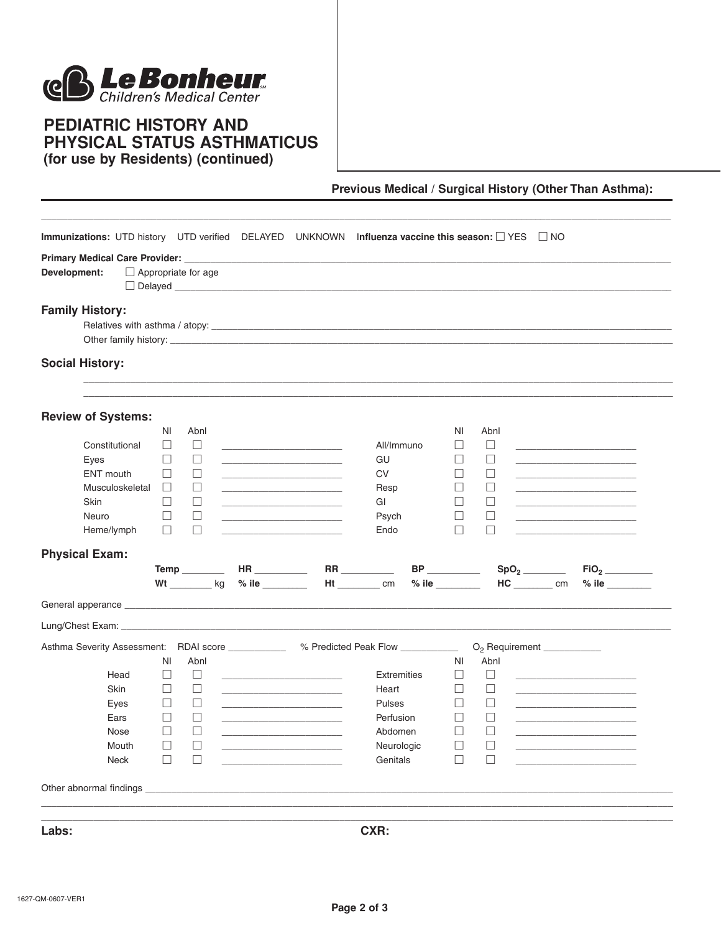

## **PEDIATRIC HISTORY AND** PHYSICAL STATUS ASTHMATICUS (for use by Residents) (continued)

Previous Medical / Surgical History (Other Than Asthma):

| Immunizations: UTD history UTD verified                                                |        |                            | DELAYED                                                                                                                                                                                                                              | <b>UNKNOWN</b>                               | Influenza vaccine this season: $\Box$ YES $\Box$ NO                                                                                                                                                                            |                             |                  |                                                                                                                                                                                                                                      |
|----------------------------------------------------------------------------------------|--------|----------------------------|--------------------------------------------------------------------------------------------------------------------------------------------------------------------------------------------------------------------------------------|----------------------------------------------|--------------------------------------------------------------------------------------------------------------------------------------------------------------------------------------------------------------------------------|-----------------------------|------------------|--------------------------------------------------------------------------------------------------------------------------------------------------------------------------------------------------------------------------------------|
|                                                                                        |        |                            |                                                                                                                                                                                                                                      |                                              |                                                                                                                                                                                                                                |                             |                  |                                                                                                                                                                                                                                      |
| Development:                                                                           |        | $\Box$ Appropriate for age |                                                                                                                                                                                                                                      |                                              |                                                                                                                                                                                                                                |                             |                  |                                                                                                                                                                                                                                      |
| <b>Family History:</b>                                                                 |        |                            |                                                                                                                                                                                                                                      |                                              |                                                                                                                                                                                                                                |                             |                  |                                                                                                                                                                                                                                      |
|                                                                                        |        |                            |                                                                                                                                                                                                                                      |                                              |                                                                                                                                                                                                                                |                             |                  |                                                                                                                                                                                                                                      |
|                                                                                        |        |                            |                                                                                                                                                                                                                                      |                                              | Other family history: example and the contract of the contract of the contract of the contract of the contract of the contract of the contract of the contract of the contract of the contract of the contract of the contract |                             |                  |                                                                                                                                                                                                                                      |
|                                                                                        |        |                            |                                                                                                                                                                                                                                      |                                              |                                                                                                                                                                                                                                |                             |                  |                                                                                                                                                                                                                                      |
| <b>Social History:</b>                                                                 |        |                            |                                                                                                                                                                                                                                      |                                              |                                                                                                                                                                                                                                |                             |                  |                                                                                                                                                                                                                                      |
|                                                                                        |        |                            |                                                                                                                                                                                                                                      |                                              |                                                                                                                                                                                                                                |                             |                  |                                                                                                                                                                                                                                      |
|                                                                                        |        |                            |                                                                                                                                                                                                                                      |                                              |                                                                                                                                                                                                                                |                             |                  |                                                                                                                                                                                                                                      |
| <b>Review of Systems:</b>                                                              |        |                            |                                                                                                                                                                                                                                      |                                              |                                                                                                                                                                                                                                |                             |                  |                                                                                                                                                                                                                                      |
|                                                                                        | ΝI     | Abnl                       |                                                                                                                                                                                                                                      |                                              |                                                                                                                                                                                                                                | ΝI                          | Abnl             |                                                                                                                                                                                                                                      |
| Constitutional                                                                         | ப      | $\Box$                     | <u> 1989 - Johann John Harry Harry Harry Harry Harry Harry Harry Harry Harry Harry Harry Harry Harry Harry Harry H</u>                                                                                                               |                                              | All/Immuno                                                                                                                                                                                                                     | ⊔                           | ⊔                | <u> 1989 - Johann John Harry Harry Harry Harry Harry Harry Harry Harry Harry Harry Harry Harry Harry Harry Harry Harry Harry Harry Harry Harry Harry Harry Harry Harry Harry Harry Harry Harry Harry Harry Harry Harry Harry Har</u> |
| Eyes                                                                                   | ⊔      | ⊔                          | <u> 1989 - Johann John Stone, mars eta bat eta bat eta bat eta bat eta bat eta bat eta bat eta bat eta bat eta b</u>                                                                                                                 |                                              | GU                                                                                                                                                                                                                             | ⊔                           | $\Box$           | the control of the control of the control of the control of                                                                                                                                                                          |
| ENT mouth                                                                              | ⊔      | ⊔                          | <u> 1989 - Johann Harry Harry Harry Harry Harry Harry Harry Harry Harry Harry Harry Harry Harry Harry Harry Harry Harry Harry Harry Harry Harry Harry Harry Harry Harry Harry Harry Harry Harry Harry Harry Harry Harry Harry Ha</u> |                                              | <b>CV</b>                                                                                                                                                                                                                      | ⊔                           | ⊔                |                                                                                                                                                                                                                                      |
| Musculoskeletal                                                                        | ⊔      | ⊔                          | the control of the control of the control of                                                                                                                                                                                         |                                              | Resp                                                                                                                                                                                                                           | ⊔                           | ⊔                | the control of the control of the control of the control of                                                                                                                                                                          |
| Skin                                                                                   | ⊔      | ⊔                          | the control of the control of the control of the                                                                                                                                                                                     |                                              | GI                                                                                                                                                                                                                             | Ш                           | ⊔                | the control of the control of the control of the control of the control of                                                                                                                                                           |
| Neuro                                                                                  | ⊔      | ⊔                          | the control of the control of the control of the                                                                                                                                                                                     |                                              | Psych                                                                                                                                                                                                                          | ⊔                           | $\Box$           |                                                                                                                                                                                                                                      |
| Heme/lymph                                                                             | $\Box$ | $\Box$                     |                                                                                                                                                                                                                                      | the control of the control of the control of | Endo                                                                                                                                                                                                                           | Ш                           | $\Box$           |                                                                                                                                                                                                                                      |
| <b>Physical Exam:</b>                                                                  |        |                            |                                                                                                                                                                                                                                      |                                              |                                                                                                                                                                                                                                |                             |                  |                                                                                                                                                                                                                                      |
|                                                                                        |        | Temp_________              | HR                                                                                                                                                                                                                                   |                                              |                                                                                                                                                                                                                                |                             | SpO <sub>2</sub> | FiO <sub>2</sub>                                                                                                                                                                                                                     |
|                                                                                        |        |                            | Wt _________ kg % ile _______                                                                                                                                                                                                        |                                              | $Ht$ $cm$ $cm$                                                                                                                                                                                                                 | $%$ ile $\_\_\_\_\_\_\_\_\$ |                  | $HC$ cm<br>$%$ ile                                                                                                                                                                                                                   |
|                                                                                        |        |                            |                                                                                                                                                                                                                                      |                                              |                                                                                                                                                                                                                                |                             |                  |                                                                                                                                                                                                                                      |
|                                                                                        |        |                            |                                                                                                                                                                                                                                      |                                              |                                                                                                                                                                                                                                |                             |                  |                                                                                                                                                                                                                                      |
| Asthma Severity Assessment: RDAI score _____________ % Predicted Peak Flow ___________ |        |                            |                                                                                                                                                                                                                                      |                                              |                                                                                                                                                                                                                                |                             |                  | $O_2$ Requirement $\_\_\_\_\_\_\_\_\_\_\_\_\_\_\_\_\_$                                                                                                                                                                               |
|                                                                                        | ΝI     | Abnl                       |                                                                                                                                                                                                                                      |                                              |                                                                                                                                                                                                                                | ΝI                          | Abnl             |                                                                                                                                                                                                                                      |
| Head                                                                                   | ⊔      | $\Box$                     | <u> 1989 - Johann Barn, mars ann an t-Amhain</u>                                                                                                                                                                                     |                                              | <b>Extremities</b>                                                                                                                                                                                                             | ⊔                           | $\Box$           |                                                                                                                                                                                                                                      |
| Skin                                                                                   | $\Box$ | $\Box$                     |                                                                                                                                                                                                                                      |                                              | Heart                                                                                                                                                                                                                          | $\Box$                      | ⊔                |                                                                                                                                                                                                                                      |
| Eyes                                                                                   | $\Box$ | ⊔                          | <u> 1989 - Johann Harry Harry Harry Harry Harry Harry Harry Harry Harry Harry Harry Harry Harry Harry Harry Harry</u>                                                                                                                |                                              | <b>Pulses</b>                                                                                                                                                                                                                  | ш                           | $\Box$           |                                                                                                                                                                                                                                      |
|                                                                                        | □      | $\Box$                     |                                                                                                                                                                                                                                      |                                              | Perfusion                                                                                                                                                                                                                      | ⊔                           | $\Box$           |                                                                                                                                                                                                                                      |
| Ears                                                                                   | $\Box$ | $\Box$                     |                                                                                                                                                                                                                                      |                                              | Abdomen                                                                                                                                                                                                                        | $\Box$                      | $\Box$           |                                                                                                                                                                                                                                      |
| Nose                                                                                   |        | $\Box$                     |                                                                                                                                                                                                                                      |                                              | Neurologic                                                                                                                                                                                                                     | $\Box$                      | $\Box$           |                                                                                                                                                                                                                                      |
| Mouth                                                                                  | ⊔      |                            |                                                                                                                                                                                                                                      |                                              |                                                                                                                                                                                                                                |                             |                  |                                                                                                                                                                                                                                      |
| Neck                                                                                   | ⊔      | $\Box$                     |                                                                                                                                                                                                                                      |                                              | Genitals                                                                                                                                                                                                                       | $\Box$                      |                  |                                                                                                                                                                                                                                      |
|                                                                                        |        |                            |                                                                                                                                                                                                                                      |                                              |                                                                                                                                                                                                                                |                             |                  |                                                                                                                                                                                                                                      |
|                                                                                        |        |                            |                                                                                                                                                                                                                                      |                                              |                                                                                                                                                                                                                                |                             |                  |                                                                                                                                                                                                                                      |